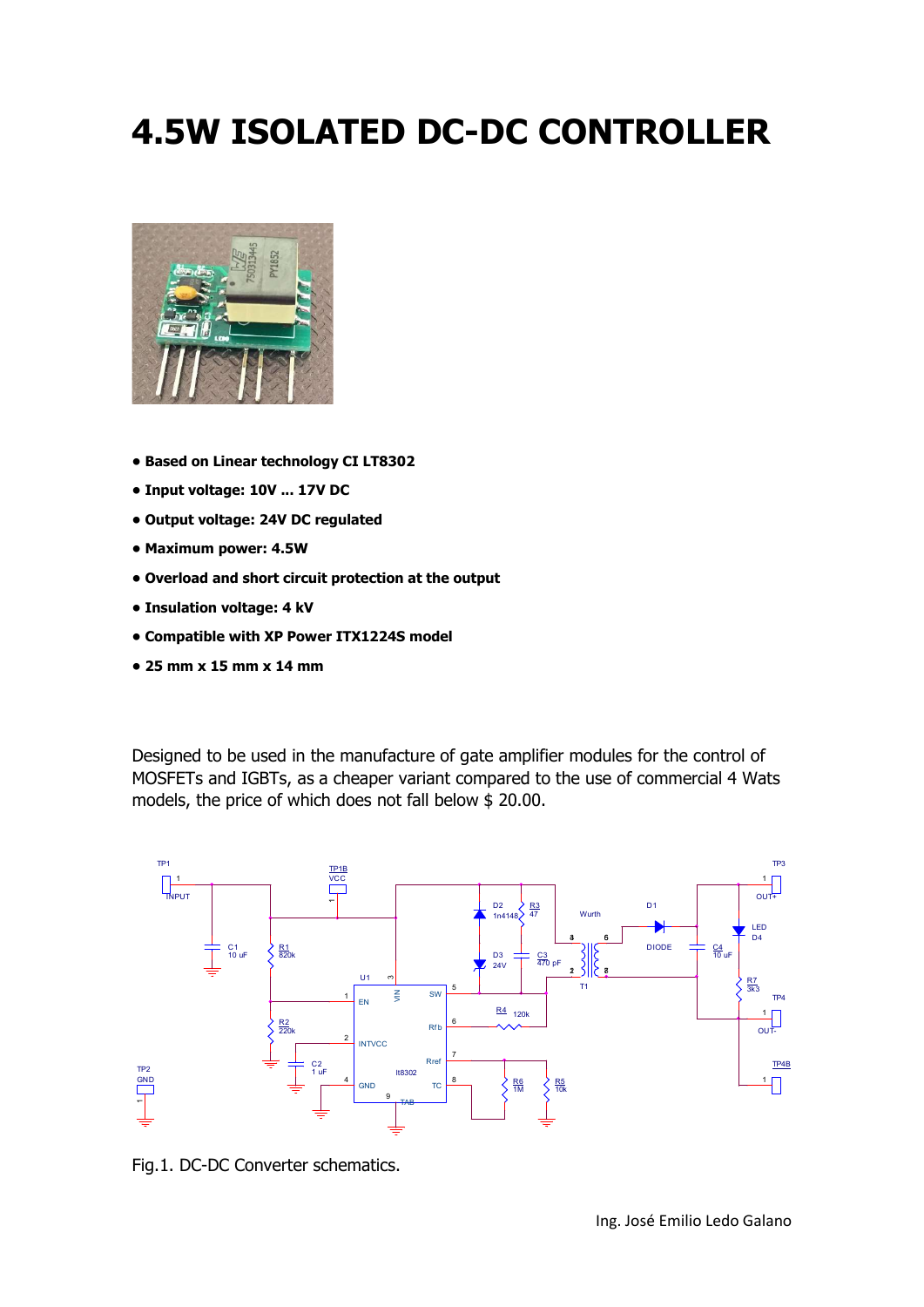## 4.5W ISOLATED DC-DC CONTROLLER



- Based on Linear technology CI LT8302
- Input voltage: 10V ... 17V DC
- Output voltage: 24V DC regulated
- Maximum power: 4.5W
- Overload and short circuit protection at the output
- Insulation voltage: 4 kV
- Compatible with XP Power ITX1224S model
- 25 mm x 15 mm x 14 mm

Designed to be used in the manufacture of gate amplifier modules for the control of MOSFETs and IGBTs, as a cheaper variant compared to the use of commercial 4 Wats models, the price of which does not fall below \$ 20.00.



Fig.1. DC-DC Converter schematics.

Ing. José Emilio Ledo Galano